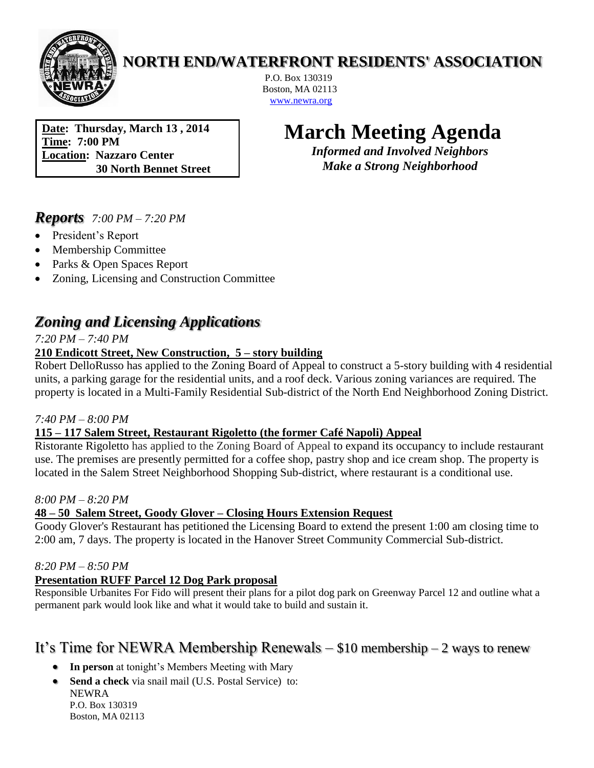

# **NORTH END/WATERFRONT RESIDENTS' ASSOCIATION**

P.O. Box 130319 Boston, MA 02113 [www.newra.org](http://www.newra.org/)

**Date: Thursday, March 13 , 2014 Time: 7:00 PM Location: Nazzaro Center 30 North Bennet Street**

# **March Meeting Agenda**

*Informed and Involved Neighbors Make a Strong Neighborhood*

## *Reports 7:00 PM – 7:20 PM*

- President's Report
- Membership Committee
- Parks & Open Spaces Report
- Zoning, Licensing and Construction Committee

# *Zoning and Licensing Applications*

*7:20 PM – 7:40 PM*

## **210 Endicott Street, New Construction, 5 – story building**

Robert DelloRusso has applied to the Zoning Board of Appeal to construct a 5-story building with 4 residential units, a parking garage for the residential units, and a roof deck. Various zoning variances are required. The property is located in a Multi-Family Residential Sub-district of the North End Neighborhood Zoning District.

#### *7:40 PM – 8:00 PM*

## **115 – 117 Salem Street, Restaurant Rigoletto (the former Café Napoli) Appeal**

Ristorante Rigoletto has applied to the Zoning Board of Appeal to expand its occupancy to include restaurant use. The premises are presently permitted for a coffee shop, pastry shop and ice cream shop. The property is located in the Salem Street Neighborhood Shopping Sub-district, where restaurant is a conditional use.

#### *8:00 PM – 8:20 PM*

#### **48 – 50 Salem Street, Goody Glover – Closing Hours Extension Request**

Goody Glover's Restaurant has petitioned the Licensing Board to extend the present 1:00 am closing time to 2:00 am, 7 days. The property is located in the Hanover Street Community Commercial Sub-district.

#### *8:20 PM – 8:50 PM*

## **Presentation RUFF Parcel 12 Dog Park proposal**

Responsible Urbanites For Fido will present their plans for a pilot dog park on Greenway Parcel 12 and outline what a permanent park would look like and what it would take to build and sustain it.

# It's Time for NEWRA Membership Renewals – \$10 membership – 2 ways to renew

- **In person** at tonight's Members Meeting with Mary
- **Send a check** via snail mail (U.S. Postal Service) to: NEWRA P.O. Box 130319 Boston, MA 02113